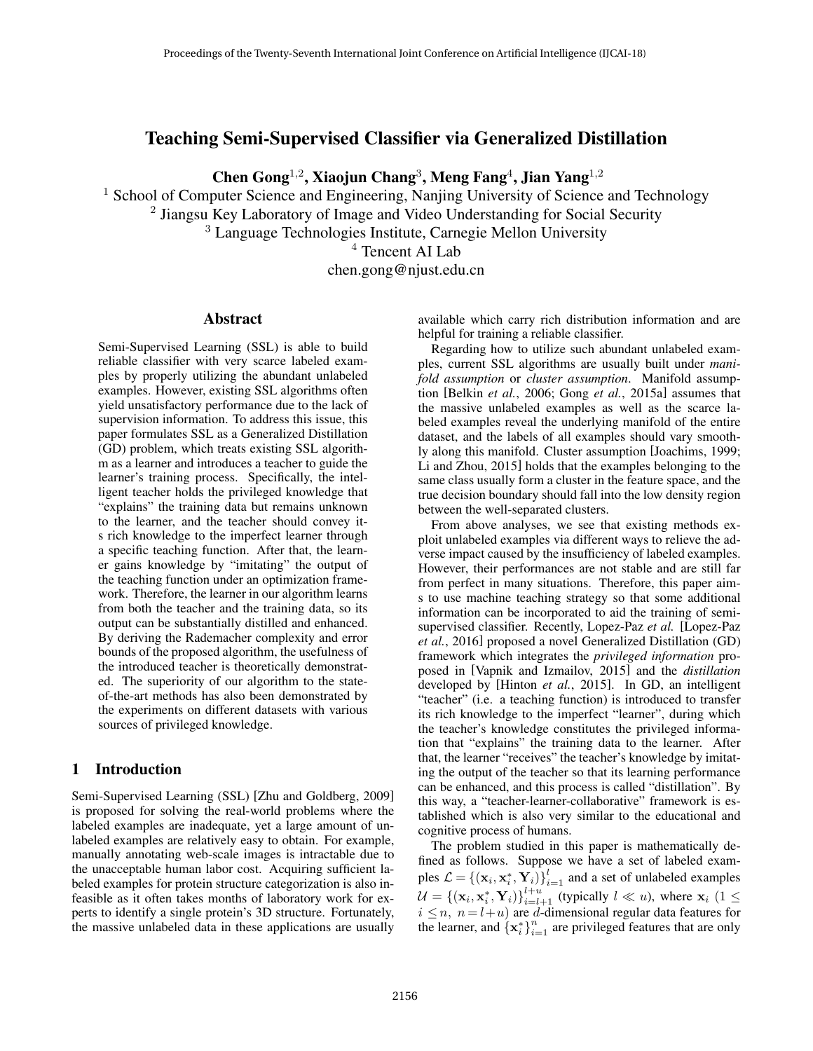# Teaching Semi-Supervised Classifier via Generalized Distillation

Chen Gong<sup>1,2</sup>, Xiaojun Chang<sup>3</sup>, Meng Fang<sup>4</sup>, Jian Yang<sup>1,2</sup>

<sup>1</sup> School of Computer Science and Engineering, Nanjing University of Science and Technology <sup>2</sup> Jiangsu Key Laboratory of Image and Video Understanding for Social Security

<sup>3</sup> Language Technologies Institute, Carnegie Mellon University

<sup>4</sup> Tencent AI Lab

chen.gong@njust.edu.cn

# Abstract

Semi-Supervised Learning (SSL) is able to build reliable classifier with very scarce labeled examples by properly utilizing the abundant unlabeled examples. However, existing SSL algorithms often yield unsatisfactory performance due to the lack of supervision information. To address this issue, this paper formulates SSL as a Generalized Distillation (GD) problem, which treats existing SSL algorithm as a learner and introduces a teacher to guide the learner's training process. Specifically, the intelligent teacher holds the privileged knowledge that "explains" the training data but remains unknown to the learner, and the teacher should convey its rich knowledge to the imperfect learner through a specific teaching function. After that, the learner gains knowledge by "imitating" the output of the teaching function under an optimization framework. Therefore, the learner in our algorithm learns from both the teacher and the training data, so its output can be substantially distilled and enhanced. By deriving the Rademacher complexity and error bounds of the proposed algorithm, the usefulness of the introduced teacher is theoretically demonstrated. The superiority of our algorithm to the stateof-the-art methods has also been demonstrated by the experiments on different datasets with various sources of privileged knowledge.

# 1 Introduction

Semi-Supervised Learning (SSL) [Zhu and Goldberg, 2009] is proposed for solving the real-world problems where the labeled examples are inadequate, yet a large amount of unlabeled examples are relatively easy to obtain. For example, manually annotating web-scale images is intractable due to the unacceptable human labor cost. Acquiring sufficient labeled examples for protein structure categorization is also infeasible as it often takes months of laboratory work for experts to identify a single protein's 3D structure. Fortunately, the massive unlabeled data in these applications are usually available which carry rich distribution information and are helpful for training a reliable classifier.

Regarding how to utilize such abundant unlabeled examples, current SSL algorithms are usually built under *manifold assumption* or *cluster assumption*. Manifold assumption [Belkin *et al.*, 2006; Gong *et al.*, 2015a] assumes that the massive unlabeled examples as well as the scarce labeled examples reveal the underlying manifold of the entire dataset, and the labels of all examples should vary smoothly along this manifold. Cluster assumption [Joachims, 1999; Li and Zhou, 2015] holds that the examples belonging to the same class usually form a cluster in the feature space, and the true decision boundary should fall into the low density region between the well-separated clusters.

From above analyses, we see that existing methods exploit unlabeled examples via different ways to relieve the adverse impact caused by the insufficiency of labeled examples. However, their performances are not stable and are still far from perfect in many situations. Therefore, this paper aims to use machine teaching strategy so that some additional information can be incorporated to aid the training of semisupervised classifier. Recently, Lopez-Paz *et al.* [Lopez-Paz *et al.*, 2016] proposed a novel Generalized Distillation (GD) framework which integrates the *privileged information* proposed in [Vapnik and Izmailov, 2015] and the *distillation* developed by [Hinton *et al.*, 2015]. In GD, an intelligent "teacher" (i.e. a teaching function) is introduced to transfer its rich knowledge to the imperfect "learner", during which the teacher's knowledge constitutes the privileged information that "explains" the training data to the learner. After that, the learner "receives" the teacher's knowledge by imitating the output of the teacher so that its learning performance can be enhanced, and this process is called "distillation". By this way, a "teacher-learner-collaborative" framework is established which is also very similar to the educational and cognitive process of humans.

The problem studied in this paper is mathematically defined as follows. Suppose we have a set of labeled examples  $\mathcal{L} = \{(\mathbf{x}_i, \mathbf{x}_i^*, \mathbf{Y}_i)\}_{i=1}^l$  and a set of unlabeled examples  $\mathcal{U} = \{(\mathbf{x}_i, \mathbf{x}_i^*, \mathbf{Y}_i)\}_{i=l+1}^{l+u}$  (typically  $l \ll u$ ), where  $\mathbf{x}_i$  (1  $\leq$  $i \leq n$ ,  $n = l + u$ ) are d-dimensional regular data features for the learner, and  $\left\{ \mathbf{x}_{i}^{*} \right\}_{i=1}^{n}$  are privileged features that are only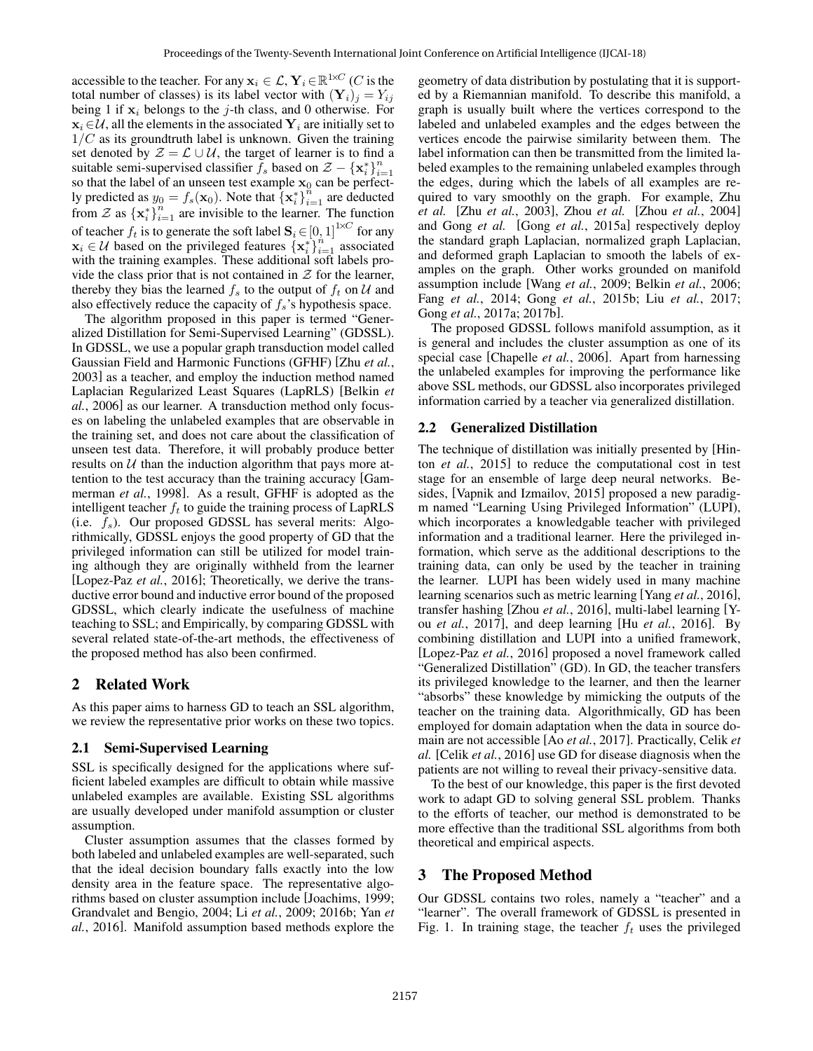accessible to the teacher. For any  $\mathbf{x}_i \in \mathcal{L}, \mathbf{Y}_i \in \mathbb{R}^{1 \times C}$  (C is the total number of classes) is its label vector with  $(Y_i)_i = Y_{ij}$ being 1 if  $x_i$  belongs to the j-th class, and 0 otherwise. For  $x_i \in U$ , all the elements in the associated  $Y_i$  are initially set to  $1/C$  as its groundtruth label is unknown. Given the training set denoted by  $\mathcal{Z} = \mathcal{L} \cup \mathcal{U}$ , the target of learner is to find a suitable semi-supervised classifier  $f_s$  based on  $\mathcal{Z} - {\mathbf{x}_i^*}_{i=1}^n$  $i=1$ so that the label of an unseen test example  $x_0$  can be perfectly predicted as  $y_0 = f_s(\mathbf{x}_0)$ . Note that  $\{\mathbf{x}_i^*\}_{i=1}^n$  are deducted from Z as  $\{x_i^*\}_{i=1}^n$  are invisible to the learner. The function of teacher  $f_t$  is to generate the soft label  $\mathbf{S}_i \in [0, 1]^{1 \times C}$  for any  $x_i \in \mathcal{U}$  based on the privileged features  $\{x_i^*\}_{i=1}^n$  associated with the training examples. These additional soft labels provide the class prior that is not contained in  $Z$  for the learner, thereby they bias the learned  $f_s$  to the output of  $f_t$  on U and also effectively reduce the capacity of  $f_s$ 's hypothesis space.

The algorithm proposed in this paper is termed "Generalized Distillation for Semi-Supervised Learning" (GDSSL). In GDSSL, we use a popular graph transduction model called Gaussian Field and Harmonic Functions (GFHF) [Zhu *et al.*, 2003] as a teacher, and employ the induction method named Laplacian Regularized Least Squares (LapRLS) [Belkin *et al.*, 2006] as our learner. A transduction method only focuses on labeling the unlabeled examples that are observable in the training set, and does not care about the classification of unseen test data. Therefore, it will probably produce better results on  $U$  than the induction algorithm that pays more attention to the test accuracy than the training accuracy [Gammerman *et al.*, 1998]. As a result, GFHF is adopted as the intelligent teacher  $f_t$  to guide the training process of LapRLS (i.e.  $f_s$ ). Our proposed GDSSL has several merits: Algorithmically, GDSSL enjoys the good property of GD that the privileged information can still be utilized for model training although they are originally withheld from the learner [Lopez-Paz *et al.*, 2016]; Theoretically, we derive the transductive error bound and inductive error bound of the proposed GDSSL, which clearly indicate the usefulness of machine teaching to SSL; and Empirically, by comparing GDSSL with several related state-of-the-art methods, the effectiveness of the proposed method has also been confirmed.

# 2 Related Work

As this paper aims to harness GD to teach an SSL algorithm, we review the representative prior works on these two topics.

#### 2.1 Semi-Supervised Learning

SSL is specifically designed for the applications where sufficient labeled examples are difficult to obtain while massive unlabeled examples are available. Existing SSL algorithms are usually developed under manifold assumption or cluster assumption.

Cluster assumption assumes that the classes formed by both labeled and unlabeled examples are well-separated, such that the ideal decision boundary falls exactly into the low density area in the feature space. The representative algorithms based on cluster assumption include [Joachims, 1999; Grandvalet and Bengio, 2004; Li *et al.*, 2009; 2016b; Yan *et al.*, 2016]. Manifold assumption based methods explore the geometry of data distribution by postulating that it is supported by a Riemannian manifold. To describe this manifold, a graph is usually built where the vertices correspond to the labeled and unlabeled examples and the edges between the vertices encode the pairwise similarity between them. The label information can then be transmitted from the limited labeled examples to the remaining unlabeled examples through the edges, during which the labels of all examples are required to vary smoothly on the graph. For example, Zhu *et al.* [Zhu *et al.*, 2003], Zhou *et al.* [Zhou *et al.*, 2004] and Gong *et al.* [Gong *et al.*, 2015a] respectively deploy the standard graph Laplacian, normalized graph Laplacian, and deformed graph Laplacian to smooth the labels of examples on the graph. Other works grounded on manifold assumption include [Wang *et al.*, 2009; Belkin *et al.*, 2006; Fang *et al.*, 2014; Gong *et al.*, 2015b; Liu *et al.*, 2017; Gong *et al.*, 2017a; 2017b].

The proposed GDSSL follows manifold assumption, as it is general and includes the cluster assumption as one of its special case [Chapelle *et al.*, 2006]. Apart from harnessing the unlabeled examples for improving the performance like above SSL methods, our GDSSL also incorporates privileged information carried by a teacher via generalized distillation.

# 2.2 Generalized Distillation

The technique of distillation was initially presented by [Hinton *et al.*, 2015] to reduce the computational cost in test stage for an ensemble of large deep neural networks. Besides, [Vapnik and Izmailov, 2015] proposed a new paradigm named "Learning Using Privileged Information" (LUPI), which incorporates a knowledgable teacher with privileged information and a traditional learner. Here the privileged information, which serve as the additional descriptions to the training data, can only be used by the teacher in training the learner. LUPI has been widely used in many machine learning scenarios such as metric learning [Yang *et al.*, 2016], transfer hashing [Zhou *et al.*, 2016], multi-label learning [You *et al.*, 2017], and deep learning [Hu *et al.*, 2016]. By combining distillation and LUPI into a unified framework, [Lopez-Paz *et al.*, 2016] proposed a novel framework called "Generalized Distillation" (GD). In GD, the teacher transfers its privileged knowledge to the learner, and then the learner "absorbs" these knowledge by mimicking the outputs of the teacher on the training data. Algorithmically, GD has been employed for domain adaptation when the data in source domain are not accessible [Ao *et al.*, 2017]. Practically, Celik *et al.* [Celik *et al.*, 2016] use GD for disease diagnosis when the patients are not willing to reveal their privacy-sensitive data.

To the best of our knowledge, this paper is the first devoted work to adapt GD to solving general SSL problem. Thanks to the efforts of teacher, our method is demonstrated to be more effective than the traditional SSL algorithms from both theoretical and empirical aspects.

# 3 The Proposed Method

Our GDSSL contains two roles, namely a "teacher" and a "learner". The overall framework of GDSSL is presented in Fig. 1. In training stage, the teacher  $f_t$  uses the privileged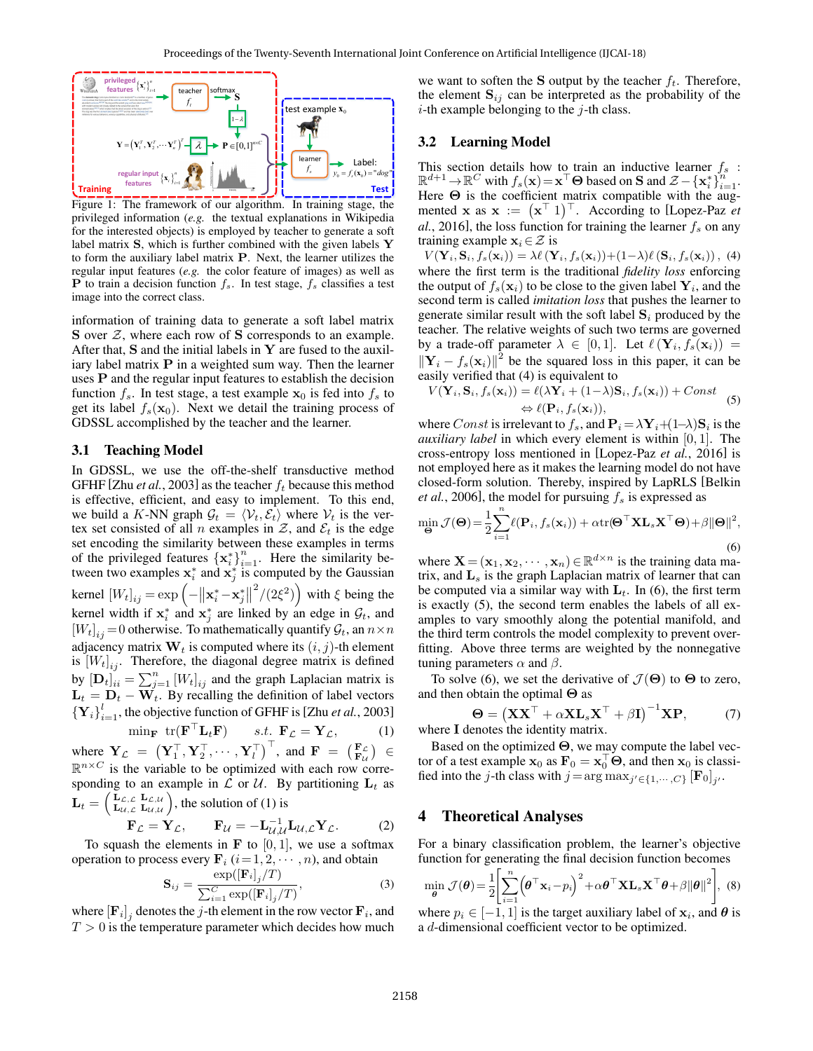

Figure 1: The framework of our algorithm. In training stage, the privileged information (*e.g.* the textual explanations in Wikipedia for the interested objects) is employed by teacher to generate a soft label matrix S, which is further combined with the given labels Y to form the auxiliary label matrix P. Next, the learner utilizes the regular input features (*e.g.* the color feature of images) as well as **P** to train a decision function  $f_s$ . In test stage,  $f_s$  classifies a test image into the correct class.

information of training data to generate a soft label matrix  $S$  over  $Z$ , where each row of  $S$  corresponds to an example. After that,  $S$  and the initial labels in  $Y$  are fused to the auxiliary label matrix  $P$  in a weighted sum way. Then the learner uses P and the regular input features to establish the decision function  $f_s$ . In test stage, a test example  $x_0$  is fed into  $f_s$  to get its label  $f_s(\mathbf{x}_0)$ . Next we detail the training process of GDSSL accomplished by the teacher and the learner.

#### 3.1 Teaching Model

In GDSSL, we use the off-the-shelf transductive method GFHF [Zhu *et al.*, 2003] as the teacher  $f_t$  because this method is effective, efficient, and easy to implement. To this end, we build a K-NN graph  $\mathcal{G}_t = \langle \mathcal{V}_t, \mathcal{E}_t \rangle$  where  $\mathcal{V}_t$  is the vertex set consisted of all *n* examples in  $\mathcal{Z}$ , and  $\mathcal{E}_t$  is the edge set encoding the similarity between these examples in terms of the privileged features  $\left\{x_i^*\right\}_{i=1}^n$ . Here the similarity between two examples  $x_i^*$  and  $x_j^*$  is computed by the Gaussian kernel  $[W_t]_{ij} = \exp \left(-\left\|\mathbf{x}_i^* - \mathbf{x}_j^*\right\|\right)$  $2^2/(2\xi^2)$  with  $\xi$  being the kernel width if  $x_i^*$  and  $x_j^*$  are linked by an edge in  $\mathcal{G}_t$ , and  $[W_t]_{ij} = 0$  otherwise. To mathematically quantify  $\mathcal{G}_t$ , an  $n \times n$ adjacency matrix  $W_t$  is computed where its  $(i, j)$ -th element is  $[W_t]_{ij}$ . Therefore, the diagonal degree matrix is defined by  $[D_t]_{ii}^j = \sum_{j=1}^n [W_t]_{ij}$  and the graph Laplacian matrix is  $\mathbf{L}_t = \mathbf{D}_t - \mathbf{W}_t$ . By recalling the definition of label vectors  ${Y_i}_{i=1}^l$ , the objective function of GFHF is [Zhu *et al.*, 2003]

$$
\min_{\mathbf{F}} \text{tr}(\mathbf{F}^{\top} \mathbf{L}_t \mathbf{F}) \qquad s.t. \ \mathbf{F}_{\mathcal{L}} = \mathbf{Y}_{\mathcal{L}}, \tag{1}
$$

where  $\mathbf{Y}_{\mathcal{L}} = (\mathbf{Y}_1^{\top}, \mathbf{Y}_2^{\top}, \cdots, \mathbf{Y}_l^{\top})^{\top}$ , and  $\mathbf{F} = (\mathbf{F}_{\mathcal{L}}) \in$  $\mathbb{R}^{n \times C}$  is the variable to be optimized with each row corresponding to an example in  $\mathcal L$  or  $\mathcal U$ . By partitioning  $\mathbf L_t$  as  $\mathbf{L}_t = \Big(\begin{smallmatrix} \mathbf{L}_{\mathcal{L},\mathcal{L}} & \mathbf{L}_{\mathcal{L},\mathcal{U}} \ \mathbf{L}_{\mathcal{U},\mathcal{L}} & \mathbf{L}_{\mathcal{U},\mathcal{U}} \end{smallmatrix}$  $\left( \begin{array}{cc} \mathbf{L}_{\mathcal{L},\mathcal{L}} & \mathbf{L}_{\mathcal{L},\mathcal{U}} \\ \mathbf{L}_{\mathcal{U},\mathcal{L}} & \mathbf{L}_{\mathcal{U},\mathcal{U}} \end{array} \right)$ , the solution of (1) is

$$
\mathbf{F}_{\mathcal{L}} = \mathbf{Y}_{\mathcal{L}}, \qquad \mathbf{F}_{\mathcal{U}} = -\mathbf{L}_{\mathcal{U},\mathcal{U}}^{-1} \mathbf{L}_{\mathcal{U},\mathcal{L}} \mathbf{Y}_{\mathcal{L}}.
$$
 (2)

To squash the elements in  $\bf{F}$  to [0, 1], we use a softmax operation to process every  $\mathbf{F}_i$   $(i=1, 2, \cdots, n)$ , and obtain

$$
\mathbf{S}_{ij} = \frac{\exp([\mathbf{F}_i]_j/T)}{\sum_{i=1}^C \exp([\mathbf{F}_i]_j/T)},
$$
(3)

where  $\left[\mathbf{F}_{i}\right]_{j}$  denotes the j-th element in the row vector  $\mathbf{F}_{i}$ , and  $T > 0$  is the temperature parameter which decides how much

**S**  $\begin{bmatrix} 1 & -1 & -1 & -1 \\ 0 & -1 & -1 & -1 \\ 0 & 0 & -1 & 0 \end{bmatrix}$  the element  $S_{ij}$  can be interpreted as the probability of the  $\mathbf{x}_0$  i-th example belonging to the *j*-th class. we want to soften the S output by the teacher  $f_t$ . Therefore,

#### 3.2 Learning Model

This section details how to train an inductive learner  $f_s$ :<br>  $\mathbb{R}^{d+1} \to \mathbb{R}^C$  with  $f_s(\mathbf{x}) = \mathbf{x}^\top \Theta$  based on **S** and  $\mathcal{Z} - {\{\mathbf{x}_i^*\}}_{i=1}^n$ . Here  $\Theta$  is the coefficient matrix compatible with the augmented **x** as  $\mathbf{x} := (\mathbf{x}^\top \mathbf{1})^\top$ . According to [Lopez-Paz *et*  $al.$ , 2016], the loss function for training the learner  $f_s$  on any training example  $x_i \in \mathcal{Z}$  is

 $V(\mathbf{Y}_i, \mathbf{S}_i, f_s(\mathbf{x}_i)) = \lambda \ell(\mathbf{Y}_i, f_s(\mathbf{x}_i)) + (1-\lambda)\ell(\mathbf{S}_i, f_s(\mathbf{x}_i)),$  (4) where the first term is the traditional *fidelity loss* enforcing the output of  $f_s(\mathbf{x}_i)$  to be close to the given label  $\mathbf{Y}_i$ , and the second term is called *imitation loss* that pushes the learner to generate similar result with the soft label  $S_i$  produced by the teacher. The relative weights of such two terms are governed by a trade-off parameter  $\lambda \in [0,1]$ . Let  $\ell(\mathbf{Y}_i, f_s(\mathbf{x}_i)) =$  $\|\mathbf{Y}_i - f_s(\mathbf{x}_i)\|^2$  be the squared loss in this paper, it can be easily verified that (4) is equivalent to

$$
V(\mathbf{Y}_i, \mathbf{S}_i, f_s(\mathbf{x}_i)) = \ell(\lambda \mathbf{Y}_i + (1-\lambda)\mathbf{S}_i, f_s(\mathbf{x}_i)) + Const
$$
  
\n
$$
\Leftrightarrow \ell(\mathbf{P}_i, f_s(\mathbf{x}_i)),
$$
\n(5)

where  $Const$  is irrelevant to  $f_s$ , and  $\mathbf{P}_i = \lambda \mathbf{Y}_i + (1-\lambda)\mathbf{S}_i$  is the *auxiliary label* in which every element is within [0, 1]. The cross-entropy loss mentioned in [Lopez-Paz *et al.*, 2016] is not employed here as it makes the learning model do not have closed-form solution. Thereby, inspired by LapRLS [Belkin *et al.*, 2006], the model for pursuing  $f_s$  is expressed as

$$
\min_{\mathbf{\Theta}} \mathcal{J}(\mathbf{\Theta}) = \frac{1}{2} \sum_{i=1}^{n} \ell(\mathbf{P}_i, f_s(\mathbf{x}_i)) + \alpha \text{tr}(\mathbf{\Theta}^\top \mathbf{X} \mathbf{L}_s \mathbf{X}^\top \mathbf{\Theta}) + \beta \|\mathbf{\Theta}\|^2,
$$
\n(6)

where  $\mathbf{X} = (\mathbf{x}_1, \mathbf{x}_2, \cdots, \mathbf{x}_n) \in \mathbb{R}^{d \times n}$  is the training data matrix, and  $L_s$  is the graph Laplacian matrix of learner that can be computed via a similar way with  $L_t$ . In (6), the first term is exactly (5), the second term enables the labels of all examples to vary smoothly along the potential manifold, and the third term controls the model complexity to prevent overfitting. Above three terms are weighted by the nonnegative tuning parameters  $\alpha$  and  $\beta$ .

To solve (6), we set the derivative of  $\mathcal{J}(\Theta)$  to  $\Theta$  to zero, and then obtain the optimal  $\Theta$  as

$$
\Theta = \left(\mathbf{X}\mathbf{X}^{\top} + \alpha \mathbf{X}\mathbf{L}_s\mathbf{X}^{\top} + \beta \mathbf{I}\right)^{-1}\mathbf{X}\mathbf{P},\tag{7}
$$
  
denotes the identity matrix.

Based on the optimized  $\Theta$ , we may compute the label vector of a test example  $\mathbf{x}_0$  as  $\mathbf{F}_0 = \mathbf{x}_0^{\top} \mathbf{\Theta}$ , and then  $\mathbf{x}_0$  is classified into the *j*-th class with  $j = \arg \max_{j' \in \{1, \dots, C\}} [\mathbf{F}_0]_{j'}$ .

# 4 Theoretical Analyses

where  $I$ 

For a binary classification problem, the learner's objective function for generating the final decision function becomes

$$
\min_{\theta} \mathcal{J}(\theta) = \frac{1}{2} \Biggl[ \sum_{i=1}^{n} \Bigl( \theta^{\top} \mathbf{x}_i - p_i \Bigr)^2 + \alpha \theta^{\top} \mathbf{X} \mathbf{L}_s \mathbf{X}^{\top} \theta + \beta ||\theta||^2 \Biggr], \text{ (8)}
$$
\nwhere  $p_i \in [-1, 1]$  is the target auxiliary label of  $\mathbf{x}_i$ , and  $\theta$  is a *d*-dimensional coefficient vector to be optimized.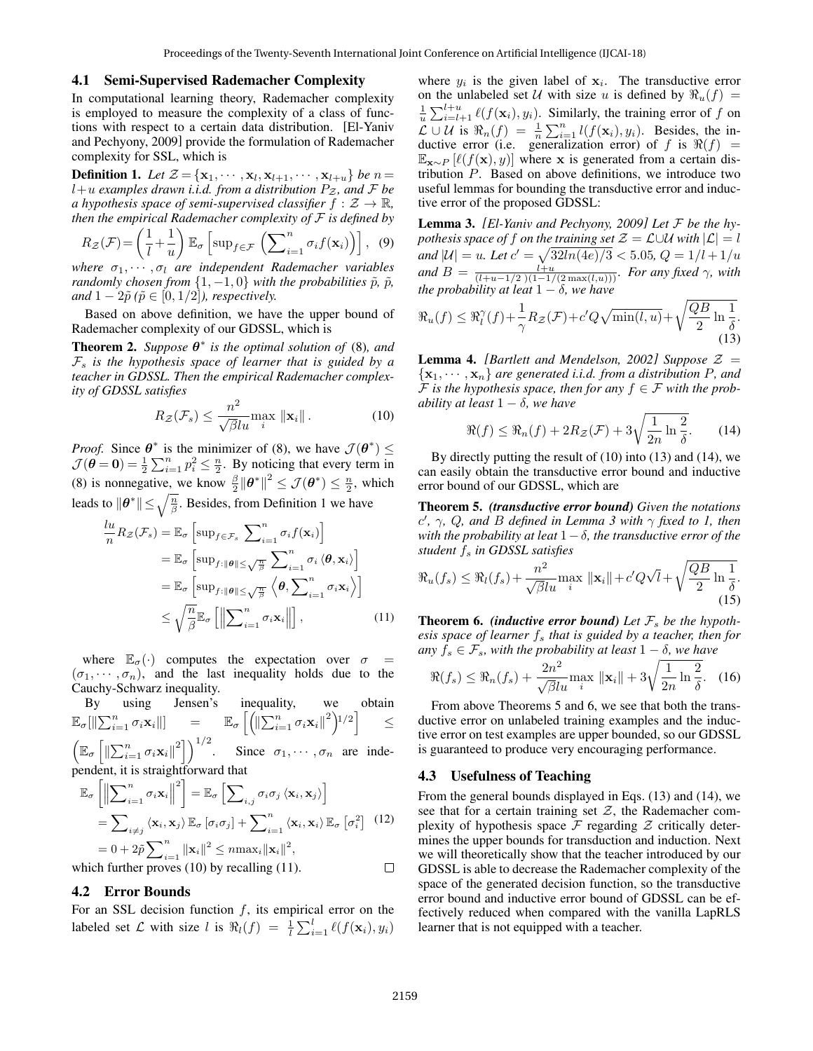#### 4.1 Semi-Supervised Rademacher Complexity

In computational learning theory, Rademacher complexity is employed to measure the complexity of a class of functions with respect to a certain data distribution. [El-Yaniv and Pechyony, 2009] provide the formulation of Rademacher complexity for SSL, which is

**Definition 1.** Let  $\mathcal{Z} = {\mathbf{x}_1, \cdots, \mathbf{x}_l, \mathbf{x}_{l+1}, \cdots, \mathbf{x}_{l+u}}$  be  $n =$  $l+u$  *examples drawn i.i.d. from a distribution*  $P_z$ *, and*  $\bar{F}$  *be a* hypothesis space of semi-supervised classifier  $f : \mathcal{Z} \to \mathbb{R}$ , *then the empirical Rademacher complexity of* F *is defined by*

$$
R_{\mathcal{Z}}(\mathcal{F}) = \left(\frac{1}{l} + \frac{1}{u}\right) \mathbb{E}_{\sigma} \left[\sup_{f \in \mathcal{F}} \left(\sum_{i=1}^{n} \sigma_{i} f(\mathbf{x}_{i})\right)\right], \tag{9}
$$

*where*  $\sigma_1, \cdots, \sigma_l$  *are independent Rademacher variables randomly chosen from*  $\{1, -1, 0\}$  *with the probabilities*  $\tilde{p}$ *,*  $\tilde{p}$ *, and*  $1 - 2\tilde{p}$  ( $\tilde{p} \in [0, 1/2]$ *), respectively.* 

Based on above definition, we have the upper bound of Rademacher complexity of our GDSSL, which is

**Theorem 2.** Suppose  $\theta^*$  is the optimal solution of (8), and  $\mathcal{F}_s$  *is the hypothesis space of learner that is guided by a teacher in GDSSL. Then the empirical Rademacher complexity of GDSSL satisfies*

$$
R_{\mathcal{Z}}(\mathcal{F}_s) \le \frac{n^2}{\sqrt{\beta}lu} \max_{i} \|\mathbf{x}_i\|.
$$
 (10)

*Proof.* Since  $\theta^*$  is the minimizer of (8), we have  $\mathcal{J}(\theta^*) \leq$  $\mathcal{J}(\boldsymbol{\theta} = \mathbf{0}) = \frac{1}{2} \sum_{i=1}^{n} p_i^2 \leq \frac{n}{2}$ . By noticing that every term in (8) is nonnegative, we know  $\frac{\beta}{2} ||\theta^*||^2 \le \mathcal{J}(\theta^*) \le \frac{n}{2}$ , which leads to  $\|\boldsymbol{\theta}^*\| \leq \sqrt{\frac{n}{\beta}}$ . Besides, from Definition 1 we have

$$
\frac{lu}{n} R_{\mathcal{Z}}(\mathcal{F}_s) = \mathbb{E}_{\sigma} \left[ \sup_{f \in \mathcal{F}_s} \sum_{i=1}^n \sigma_i f(\mathbf{x}_i) \right]
$$
  
\n
$$
= \mathbb{E}_{\sigma} \left[ \sup_{f:||\boldsymbol{\theta}|| \leq \sqrt{\frac{n}{\beta}}} \sum_{i=1}^n \sigma_i \langle \boldsymbol{\theta}, \mathbf{x}_i \rangle \right]
$$
  
\n
$$
= \mathbb{E}_{\sigma} \left[ \sup_{f:||\boldsymbol{\theta}|| \leq \sqrt{\frac{n}{\beta}}} \langle \boldsymbol{\theta}, \sum_{i=1}^n \sigma_i \mathbf{x}_i \rangle \right]
$$
  
\n
$$
\leq \sqrt{\frac{n}{\beta}} \mathbb{E}_{\sigma} \left[ \left\| \sum_{i=1}^n \sigma_i \mathbf{x}_i \right\| \right], \qquad (11)
$$

where  $\mathbb{E}_{\sigma}(\cdot)$  computes the expectation over  $\sigma$  =  $(\sigma_1, \dots, \sigma_n)$ , and the last inequality holds due to the Cauchy-Schwarz inequality.

By using Jensen's inequality, we obtain  $\mathbb{E}_{\sigma}[\|\sum_{i=1}^n \sigma_i \mathbf{x}_i\|] \quad \quad = \quad \quad \mathbb{E}_{\sigma}\left[\left(\|\sum_{i=1}^n \sigma_i \mathbf{x}_i\|^2\right)^{1/2}\right] \quad \quad \leq \quad$  $\left( \mathbb{E}_{\sigma} \left[ \left\| \sum_{i=1}^{n} \sigma_{i} \mathbf{x}_{i} \right\|^{2} \right] \right)^{1/2}$ . Since  $\sigma_{1}, \cdots, \sigma_{n}$  are independent, it is straightforward that

$$
\mathbb{E}_{\sigma}\left[\left\|\sum_{i=1}^{n} \sigma_{i} \mathbf{x}_{i}\right\|^{2}\right] = \mathbb{E}_{\sigma}\left[\sum_{i,j} \sigma_{i} \sigma_{j} \left\langle \mathbf{x}_{i}, \mathbf{x}_{j}\right\rangle\right]
$$
\n
$$
= \sum_{i \neq j} \left\langle \mathbf{x}_{i}, \mathbf{x}_{j}\right\rangle \mathbb{E}_{\sigma}\left[\sigma_{i} \sigma_{j}\right] + \sum_{i=1}^{n} \left\langle \mathbf{x}_{i}, \mathbf{x}_{i}\right\rangle \mathbb{E}_{\sigma}\left[\sigma_{i}^{2}\right] \quad (12)
$$
\n
$$
= 0 + 2\tilde{p} \sum_{i=1}^{n} \|\mathbf{x}_{i}\|^{2} \leq n \max_{i} \|\mathbf{x}_{i}\|^{2},
$$
\nwhich further proves (10) by recalling (11).

which further proves (10) by recalling (11).

# 4.2 Error Bounds

For an SSL decision function  $f$ , its empirical error on the labeled set L with size l is  $\Re_l(f) = \frac{1}{l} \sum_{i=1}^l \ell(f(\mathbf{x}_i), y_i)$ 

where  $y_i$  is the given label of  $x_i$ . The transductive error on the unlabeled set U with size u is defined by  $\Re_u(f)$  =  $\frac{1}{u} \sum_{i=l+1}^{l+u} \ell(f(\mathbf{x}_i), y_i)$ . Similarly, the training error of f on  $\mathcal{L} \cup \mathcal{U}$  is  $\Re_n(f) = \frac{1}{n} \sum_{i=1}^n l(f(\mathbf{x}_i), y_i)$ . Besides, the inductive error (i.e. generalization error) of f is  $\Re(f)$  =  $\mathbb{E}_{\mathbf{x} \sim P}$  [ $\ell(f(\mathbf{x}), y)$ ] where x is generated from a certain distribution P. Based on above definitions, we introduce two useful lemmas for bounding the transductive error and inductive error of the proposed GDSSL:

Lemma 3. *[El-Yaniv and Pechyony, 2009] Let* F *be the hypothesis space of* f *on the training set*  $\mathcal{Z} = \mathcal{L} \cup \mathcal{U}$  *with*  $|\mathcal{L}| = l$ *and*  $|U| = u$ *. Let*  $c' = \sqrt{32ln(4e)/3} < 5.05$ ,  $Q = 1/l + 1/u$ *and*  $B = \frac{l+u}{(l+u-1/2)(1-1/(2 \max(l,u)))}$ *. For any fixed*  $\gamma$ *, with the probability at leat*  $1 - \delta$ *, we have* 

$$
\Re_u(f) \le \Re_l^{\gamma}(f) + \frac{1}{\gamma} R_{\mathcal{Z}}(\mathcal{F}) + c'Q\sqrt{\min(l, u)} + \sqrt{\frac{QB}{2}\ln\frac{1}{\delta}}.
$$
\n(13)

**Lemma 4.** *[Bartlett and Mendelson, 2002] Suppose*  $\mathcal{Z} =$  ${x_1, \dots, x_n}$  *are generated i.i.d. from a distribution P, and*  $\mathcal F$  *is the hypothesis space, then for any*  $f \in \mathcal F$  *with the probability at least*  $1 - \delta$ *, we have* 

$$
\Re(f) \le \Re_n(f) + 2R_{\mathcal{Z}}(\mathcal{F}) + 3\sqrt{\frac{1}{2n}\ln\frac{2}{\delta}}.\tag{14}
$$

By directly putting the result of (10) into (13) and (14), we can easily obtain the transductive error bound and inductive error bound of our GDSSL, which are

Theorem 5. *(transductive error bound) Given the notations* c 0 *,* γ*,* Q*, and* B *defined in Lemma 3 with* γ *fixed to 1, then with the probability at leat* 1−δ*, the transductive error of the student* f<sup>s</sup> *in GDSSL satisfies*

$$
\Re_u(f_s) \le \Re_l(f_s) + \frac{n^2}{\sqrt{\beta}lu} \max_i \|\mathbf{x}_i\| + c'Q\sqrt{l} + \sqrt{\frac{QB}{2}\ln\frac{1}{\delta}}.\tag{15}
$$

**Theorem 6.** *(inductive error bound)* Let  $\mathcal{F}_s$  be the hypoth*esis space of learner*  $f_s$  *that is guided by a teacher, then for*  $any f_s \in \mathcal{F}_s$ *, with the probability at least*  $1 - \delta$ *, we have* 

$$
\Re(f_s) \le \Re_n(f_s) + \frac{2n^2}{\sqrt{\beta}lu} \max_i \|\mathbf{x}_i\| + 3\sqrt{\frac{1}{2n}\ln\frac{2}{\delta}}. \tag{16}
$$

From above Theorems 5 and 6, we see that both the transductive error on unlabeled training examples and the inductive error on test examples are upper bounded, so our GDSSL is guaranteed to produce very encouraging performance.

#### 4.3 Usefulness of Teaching

From the general bounds displayed in Eqs. (13) and (14), we see that for a certain training set  $Z$ , the Rademacher complexity of hypothesis space  $\mathcal F$  regarding  $\mathcal Z$  critically determines the upper bounds for transduction and induction. Next we will theoretically show that the teacher introduced by our GDSSL is able to decrease the Rademacher complexity of the space of the generated decision function, so the transductive error bound and inductive error bound of GDSSL can be effectively reduced when compared with the vanilla LapRLS learner that is not equipped with a teacher.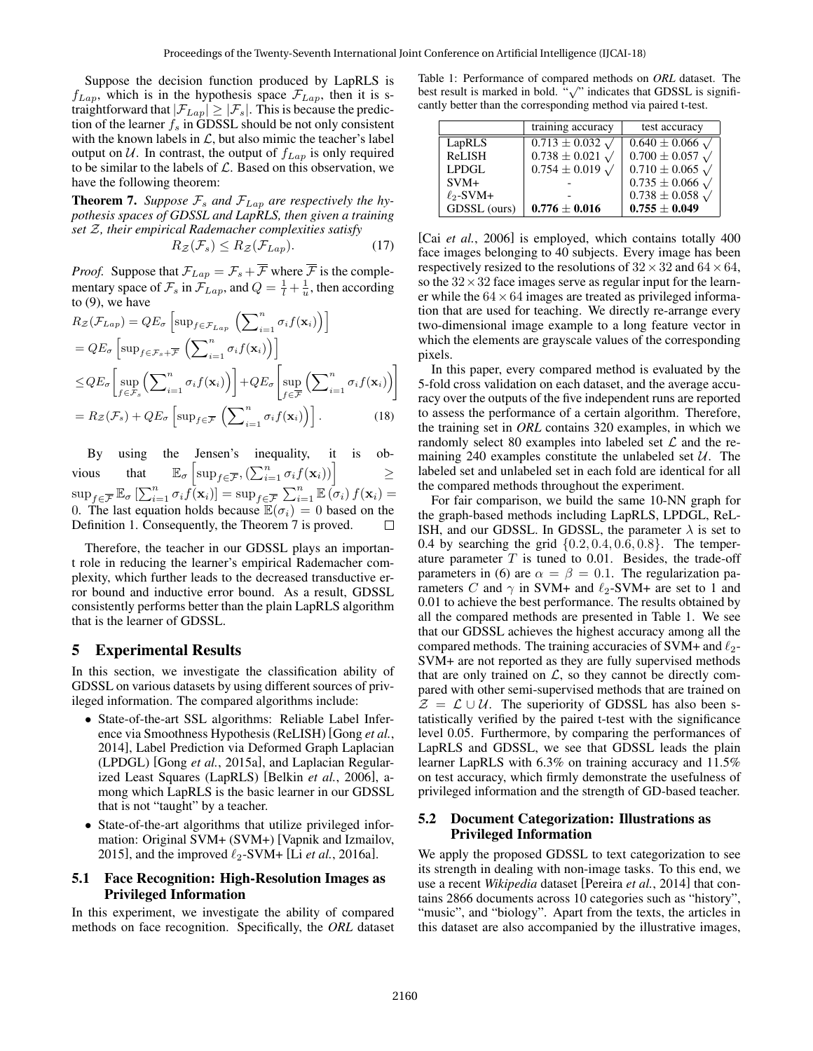Suppose the decision function produced by LapRLS is  $f_{Lap}$ , which is in the hypothesis space  $\mathcal{F}_{Lap}$ , then it is straightforward that  $|\mathcal{F}_{Lap}| \geq |\mathcal{F}_{s}|$ . This is because the prediction of the learner  $f_s$  in GDSSL should be not only consistent with the known labels in  $\mathcal{L}$ , but also mimic the teacher's label output on  $U$ . In contrast, the output of  $f_{Lap}$  is only required to be similar to the labels of  $\mathcal{L}$ . Based on this observation, we have the following theorem:

**Theorem 7.** Suppose  $\mathcal{F}_s$  and  $\mathcal{F}_{Lap}$  are respectively the hy*pothesis spaces of GDSSL and LapRLS, then given a training set* Z*, their empirical Rademacher complexities satisfy*

$$
R_{\mathcal{Z}}(\mathcal{F}_s) \le R_{\mathcal{Z}}(\mathcal{F}_{Lap}).\tag{17}
$$

*Proof.* Suppose that  $\mathcal{F}_{Lap} = \mathcal{F}_s + \overline{\mathcal{F}}$  where  $\overline{\mathcal{F}}$  is the complementary space of  $\mathcal{F}_s$  in  $\mathcal{F}_{Lap}$ , and  $Q = \frac{1}{l} + \frac{1}{u}$ , then according to (9), we have

$$
R_{\mathcal{Z}}(\mathcal{F}_{Lap}) = QE_{\sigma} \left[ \sup_{f \in \mathcal{F}_{Lap}} \left( \sum_{i=1}^{n} \sigma_{i} f(\mathbf{x}_{i}) \right) \right]
$$
  
\n
$$
= QE_{\sigma} \left[ \sup_{f \in \mathcal{F}_{s}} \left( \sum_{i=1}^{n} \sigma_{i} f(\mathbf{x}_{i}) \right) \right]
$$
  
\n
$$
\leq QE_{\sigma} \left[ \sup_{f \in \mathcal{F}_{s}} \left( \sum_{i=1}^{n} \sigma_{i} f(\mathbf{x}_{i}) \right) \right] + QE_{\sigma} \left[ \sup_{f \in \overline{\mathcal{F}}} \left( \sum_{i=1}^{n} \sigma_{i} f(\mathbf{x}_{i}) \right) \right]
$$
  
\n
$$
= R_{\mathcal{Z}}(\mathcal{F}_{s}) + QE_{\sigma} \left[ \sup_{f \in \overline{\mathcal{F}}} \left( \sum_{i=1}^{n} \sigma_{i} f(\mathbf{x}_{i}) \right) \right].
$$
 (18)

By using the Jensen's inequality, it is obvious that  $\mathbb{E}_{\sigma}\left[\sup_{f\in\overline{\mathcal{F}}},\left(\sum_{i=1}^n\sigma_if(\mathbf{x}_i)\right)\right]$   $\geq$  $\sup_{f \in \overline{\mathcal{F}}} \mathbb{E}_{\sigma} \left[ \sum_{i=1}^n \sigma_i f(\mathbf{x}_i) \right] = \sup_{f \in \overline{\mathcal{F}}} \sum_{i=1}^n \mathbb{E} \left[ \sigma_i \right] f(\mathbf{x}_i) =$ 0. The last equation holds because  $\mathbb{E}(\sigma_i) = 0$  based on the Definition 1. Consequently, the Theorem 7 is proved.

Therefore, the teacher in our GDSSL plays an important role in reducing the learner's empirical Rademacher complexity, which further leads to the decreased transductive error bound and inductive error bound. As a result, GDSSL consistently performs better than the plain LapRLS algorithm that is the learner of GDSSL.

# 5 Experimental Results

In this section, we investigate the classification ability of GDSSL on various datasets by using different sources of privileged information. The compared algorithms include:

- State-of-the-art SSL algorithms: Reliable Label Inference via Smoothness Hypothesis (ReLISH) [Gong *et al.*, 2014], Label Prediction via Deformed Graph Laplacian (LPDGL) [Gong *et al.*, 2015a], and Laplacian Regularized Least Squares (LapRLS) [Belkin *et al.*, 2006], among which LapRLS is the basic learner in our GDSSL that is not "taught" by a teacher.
- State-of-the-art algorithms that utilize privileged information: Original SVM+ (SVM+) [Vapnik and Izmailov, 2015], and the improved  $\ell_2$ -SVM+ [Li *et al.*, 2016a].

# 5.1 Face Recognition: High-Resolution Images as Privileged Information

In this experiment, we investigate the ability of compared methods on face recognition. Specifically, the *ORL* dataset

Table 1: Performance of compared methods on *ORL* dataset. The The state is marked in bold. " $\sqrt{\ }$  indicates that GDSSL is significantly better than the corresponding method via paired t-test.

|                | training accuracy                       | test accuracy                |
|----------------|-----------------------------------------|------------------------------|
| LapRLS         | $\overline{0.713 \pm 0.032}$ $\sqrt{ }$ | $0.640 \pm 0.066$ $\sqrt{ }$ |
| ReLISH         | $0.738 \pm 0.021$ $\sqrt{ }$            | $0.700 \pm 0.057$ $\sqrt{ }$ |
| LPDGL          | $0.754 \pm 0.019 \sqrt{ }$              | $0.710 \pm 0.065 \sqrt{ }$   |
| $SVM+$         |                                         | $0.735 \pm 0.066 \sqrt{ }$   |
| $\ell_2$ -SVM+ |                                         | $0.738 \pm 0.058$ $\sqrt{ }$ |
| GDSSL (ours)   | $0.776 \pm 0.016$                       | $0.755 \pm 0.049$            |

[Cai *et al.*, 2006] is employed, which contains totally 400 face images belonging to 40 subjects. Every image has been respectively resized to the resolutions of  $32 \times 32$  and  $64 \times 64$ , so the  $32 \times 32$  face images serve as regular input for the learner while the  $64 \times 64$  images are treated as privileged information that are used for teaching. We directly re-arrange every two-dimensional image example to a long feature vector in which the elements are grayscale values of the corresponding pixels.

In this paper, every compared method is evaluated by the 5-fold cross validation on each dataset, and the average accuracy over the outputs of the five independent runs are reported to assess the performance of a certain algorithm. Therefore, the training set in *ORL* contains 320 examples, in which we randomly select 80 examples into labeled set  $\mathcal L$  and the remaining 240 examples constitute the unlabeled set  $U$ . The labeled set and unlabeled set in each fold are identical for all the compared methods throughout the experiment.

For fair comparison, we build the same 10-NN graph for the graph-based methods including LapRLS, LPDGL, ReL-ISH, and our GDSSL. In GDSSL, the parameter  $\lambda$  is set to 0.4 by searching the grid  $\{0.2, 0.4, 0.6, 0.8\}$ . The temperature parameter  $T$  is tuned to 0.01. Besides, the trade-off parameters in (6) are  $\alpha = \beta = 0.1$ . The regularization parameters C and  $\gamma$  in SVM+ and  $\ell_2$ -SVM+ are set to 1 and 0.01 to achieve the best performance. The results obtained by all the compared methods are presented in Table 1. We see that our GDSSL achieves the highest accuracy among all the compared methods. The training accuracies of SVM+ and  $\ell_2$ -SVM+ are not reported as they are fully supervised methods that are only trained on  $\mathcal{L}$ , so they cannot be directly compared with other semi-supervised methods that are trained on  $\mathcal{Z} = \mathcal{L} \cup \mathcal{U}$ . The superiority of GDSSL has also been statistically verified by the paired t-test with the significance level 0.05. Furthermore, by comparing the performances of LapRLS and GDSSL, we see that GDSSL leads the plain learner LapRLS with 6.3% on training accuracy and 11.5% on test accuracy, which firmly demonstrate the usefulness of privileged information and the strength of GD-based teacher.

# 5.2 Document Categorization: Illustrations as Privileged Information

We apply the proposed GDSSL to text categorization to see its strength in dealing with non-image tasks. To this end, we use a recent *Wikipedia* dataset [Pereira *et al.*, 2014] that contains 2866 documents across 10 categories such as "history", "music", and "biology". Apart from the texts, the articles in this dataset are also accompanied by the illustrative images,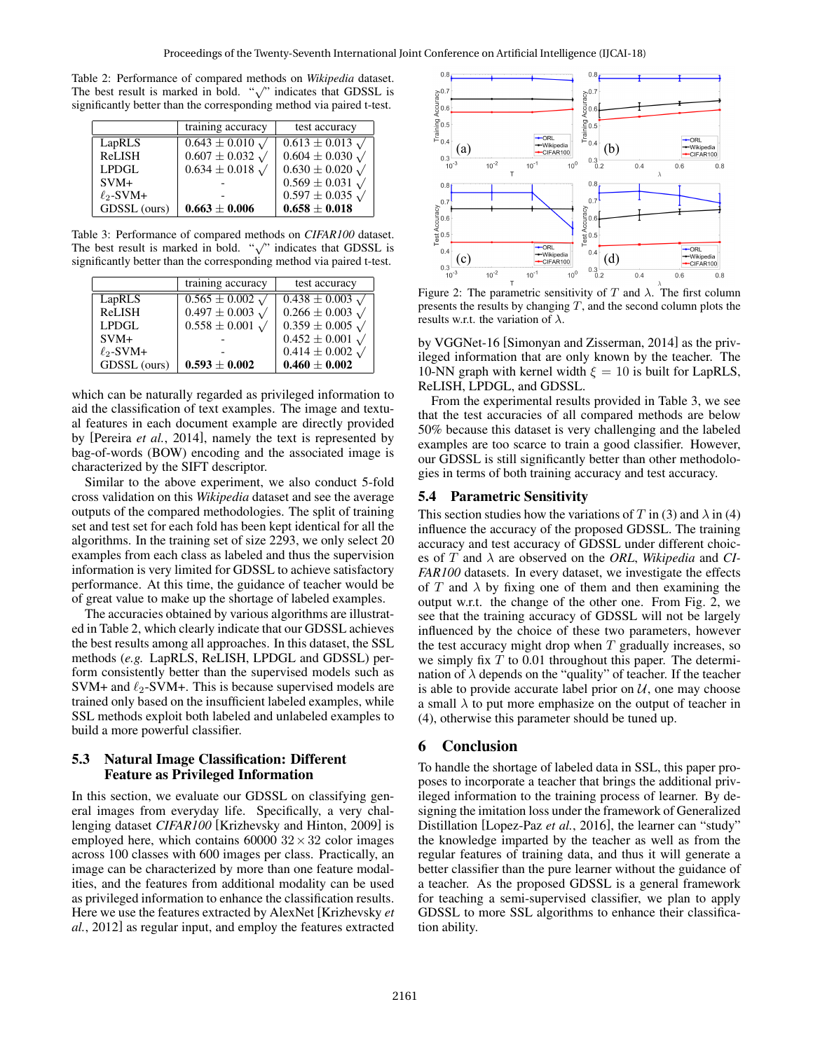Table 2: Performance of compared methods on *Wikipedia* dataset. The best result is marked in bold.  $\sqrt{\ }$  indicates that GDSSL is significantly better than the corresponding method via paired t-test.

|                | training accuracy          | test accuracy                |
|----------------|----------------------------|------------------------------|
| LapRLS         | $0.643 \pm 0.010 \sqrt{ }$ | $0.613 \pm 0.013$ $\sqrt{ }$ |
| ReLISH         | $0.607 \pm 0.032 \sqrt{ }$ | $0.604 \pm 0.030 \sqrt{ }$   |
| LPDGL          | $0.634 \pm 0.018 \sqrt{ }$ | $0.630 \pm 0.020 \sqrt{ }$   |
| $SVM+$         |                            | $0.569 \pm 0.031$ $\sqrt{ }$ |
| $\ell_2$ -SVM+ |                            | $0.597 \pm 0.035$ $\sqrt{ }$ |
| GDSSL (ours)   | $0.663 \pm 0.006$          | $0.658 \pm 0.018$            |

Table 3: Performance of compared methods on *CIFAR100* dataset. The best result is marked in bold.  $\sqrt{\ }$  indicates that GDSSL is significantly better than the corresponding method via paired t-test.

|                | training accuracy                    | test accuracy                         |
|----------------|--------------------------------------|---------------------------------------|
| LapRLS         | $\overline{0.565} \pm 0.002 \sqrt{}$ | $\overline{0.438} \pm 0.003 \sqrt{ }$ |
| <b>ReLISH</b>  | $0.497 \pm 0.003 \sqrt{ }$           | $0.266 \pm 0.003 \sqrt{ }$            |
| LPDGL          | $0.558 \pm 0.001 \sqrt{ }$           | $0.359 \pm 0.005 \sqrt{ }$            |
| $SVM+$         |                                      | $0.452 \pm 0.001$ $\sqrt{ }$          |
| $\ell_2$ -SVM+ |                                      | $0.414 \pm 0.002 \sqrt{ }$            |
| GDSSL (ours)   | $0.593 \pm 0.002$                    | $0.460 \pm 0.002$                     |

which can be naturally regarded as privileged information to aid the classification of text examples. The image and textual features in each document example are directly provided by [Pereira *et al.*, 2014], namely the text is represented by bag-of-words (BOW) encoding and the associated image is characterized by the SIFT descriptor.

Similar to the above experiment, we also conduct 5-fold cross validation on this *Wikipedia* dataset and see the average outputs of the compared methodologies. The split of training set and test set for each fold has been kept identical for all the algorithms. In the training set of size 2293, we only select 20 examples from each class as labeled and thus the supervision information is very limited for GDSSL to achieve satisfactory performance. At this time, the guidance of teacher would be of great value to make up the shortage of labeled examples.

The accuracies obtained by various algorithms are illustrated in Table 2, which clearly indicate that our GDSSL achieves the best results among all approaches. In this dataset, the SSL methods (*e.g.* LapRLS, ReLISH, LPDGL and GDSSL) perform consistently better than the supervised models such as SVM+ and  $\ell_2$ -SVM+. This is because supervised models are trained only based on the insufficient labeled examples, while SSL methods exploit both labeled and unlabeled examples to build a more powerful classifier.

# 5.3 Natural Image Classification: Different Feature as Privileged Information

In this section, we evaluate our GDSSL on classifying general images from everyday life. Specifically, a very challenging dataset *CIFAR100* [Krizhevsky and Hinton, 2009] is employed here, which contains  $60000 \ 32 \times 32$  color images across 100 classes with 600 images per class. Practically, an image can be characterized by more than one feature modalities, and the features from additional modality can be used as privileged information to enhance the classification results. Here we use the features extracted by AlexNet [Krizhevsky *et al.*, 2012] as regular input, and employ the features extracted



Figure 2: The parametric sensitivity of T and  $\lambda$ . The first column presents the results by changing  $T$ , and the second column plots the results w.r.t. the variation of  $\lambda$ .

by VGGNet-16 [Simonyan and Zisserman, 2014] as the privileged information that are only known by the teacher. The 10-NN graph with kernel width  $\xi = 10$  is built for LapRLS, ReLISH, LPDGL, and GDSSL.

From the experimental results provided in Table 3, we see that the test accuracies of all compared methods are below 50% because this dataset is very challenging and the labeled examples are too scarce to train a good classifier. However, our GDSSL is still significantly better than other methodologies in terms of both training accuracy and test accuracy.

# 5.4 Parametric Sensitivity

This section studies how the variations of T in (3) and  $\lambda$  in (4) influence the accuracy of the proposed GDSSL. The training accuracy and test accuracy of GDSSL under different choices of  $T$  and  $\lambda$  are observed on the *ORL*, *Wikipedia* and *CI*-*FAR100* datasets. In every dataset, we investigate the effects of T and  $\lambda$  by fixing one of them and then examining the output w.r.t. the change of the other one. From Fig. 2, we see that the training accuracy of GDSSL will not be largely influenced by the choice of these two parameters, however the test accuracy might drop when  $T$  gradually increases, so we simply fix  $T$  to 0.01 throughout this paper. The determination of  $\lambda$  depends on the "quality" of teacher. If the teacher is able to provide accurate label prior on  $U$ , one may choose a small  $\lambda$  to put more emphasize on the output of teacher in (4), otherwise this parameter should be tuned up.

# 6 Conclusion

To handle the shortage of labeled data in SSL, this paper proposes to incorporate a teacher that brings the additional privileged information to the training process of learner. By designing the imitation loss under the framework of Generalized Distillation [Lopez-Paz *et al.*, 2016], the learner can "study" the knowledge imparted by the teacher as well as from the regular features of training data, and thus it will generate a better classifier than the pure learner without the guidance of a teacher. As the proposed GDSSL is a general framework for teaching a semi-supervised classifier, we plan to apply GDSSL to more SSL algorithms to enhance their classification ability.